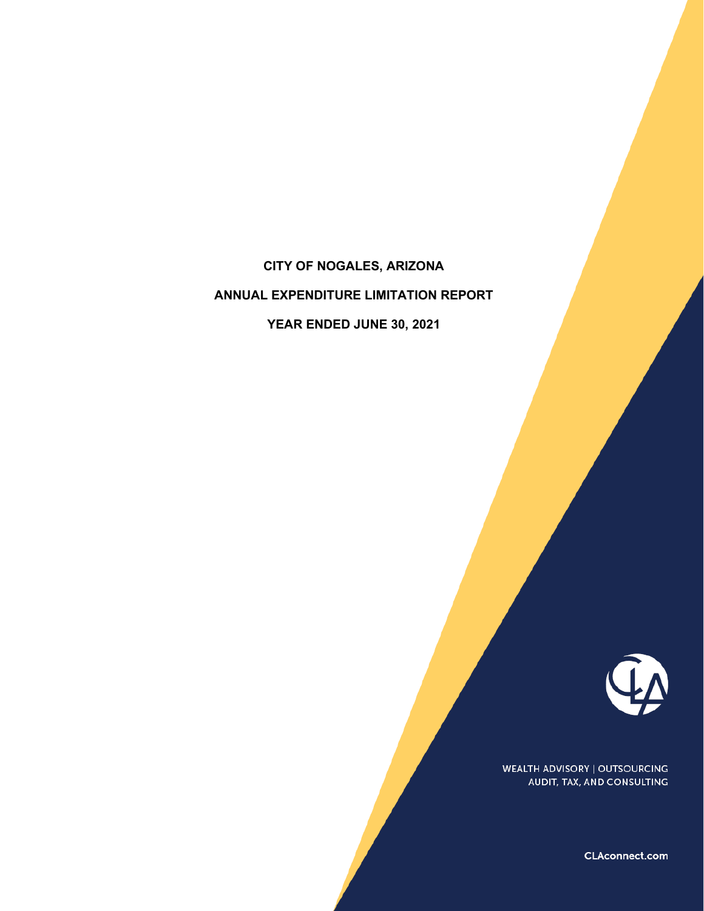# **CITY OF NOGALES, ARIZONA**

# **ANNUAL EXPENDITURE LIMITATION REPORT**

**YEAR ENDED JUNE 30, 2021**



WEALTH ADVISORY | OUTSOURCING AUDIT, TAX, AND CONSULTING

CLAconnect.com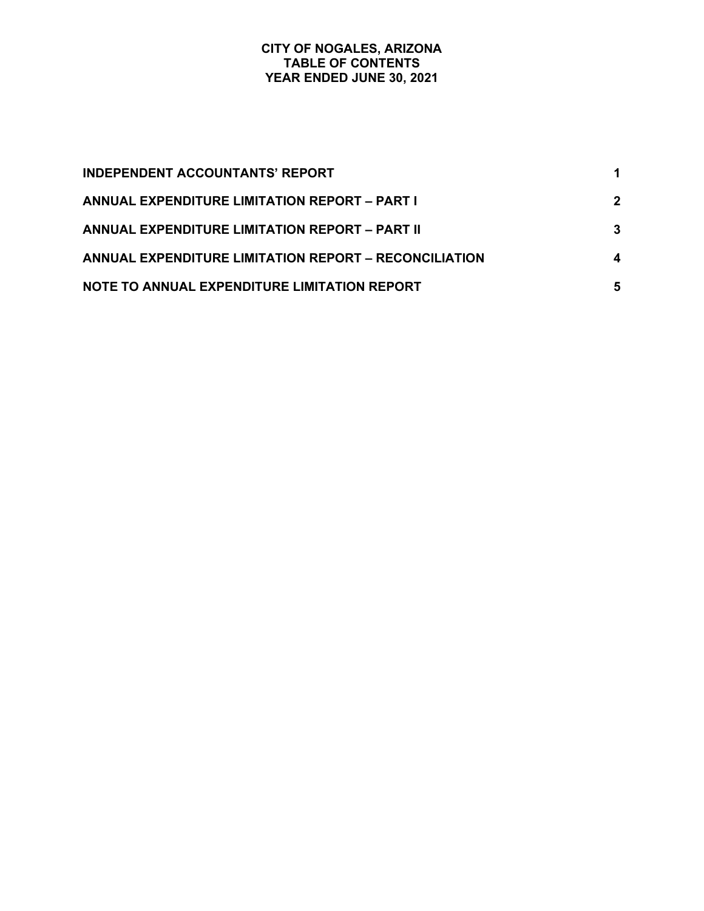## **CITY OF NOGALES, ARIZONA TABLE OF CONTENTS YEAR ENDED JUNE 30, 2021**

| <b>INDEPENDENT ACCOUNTANTS' REPORT</b>                       |             |
|--------------------------------------------------------------|-------------|
| ANNUAL EXPENDITURE LIMITATION REPORT – PART I                | $\mathbf 2$ |
| <b>ANNUAL EXPENDITURE LIMITATION REPORT - PART II</b>        | 3           |
| <b>ANNUAL EXPENDITURE LIMITATION REPORT - RECONCILIATION</b> | 4           |
| NOTE TO ANNUAL EXPENDITURE LIMITATION REPORT                 | 5           |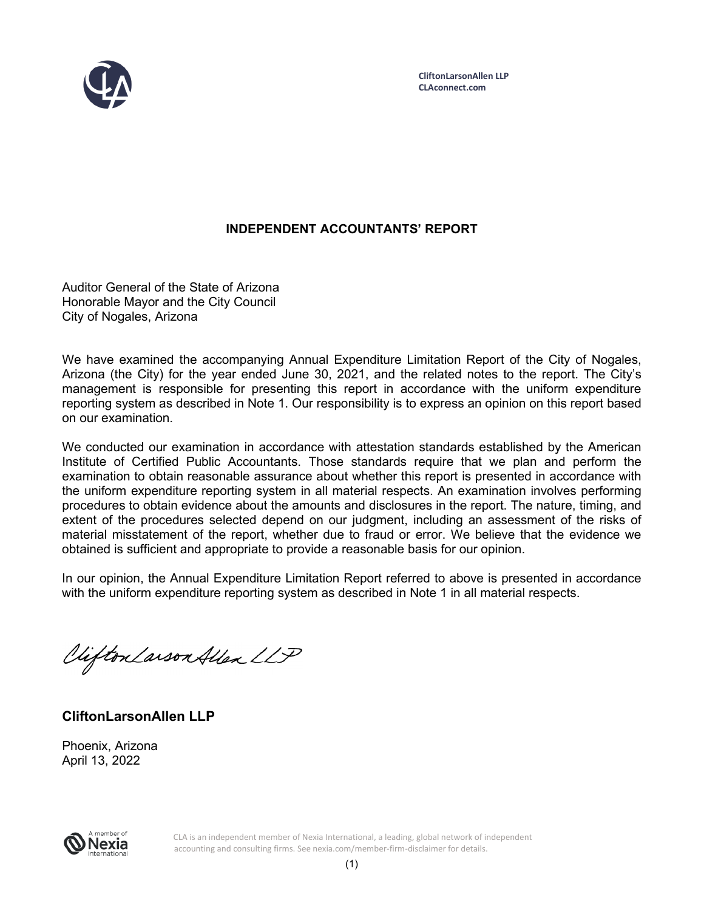

## **INDEPENDENT ACCOUNTANTS' REPORT**

Auditor General of the State of Arizona Honorable Mayor and the City Council City of Nogales, Arizona

We have examined the accompanying Annual Expenditure Limitation Report of the City of Nogales, Arizona (the City) for the year ended June 30, 2021, and the related notes to the report. The City's management is responsible for presenting this report in accordance with the uniform expenditure reporting system as described in Note 1. Our responsibility is to express an opinion on this report based on our examination.

We conducted our examination in accordance with attestation standards established by the American Institute of Certified Public Accountants. Those standards require that we plan and perform the examination to obtain reasonable assurance about whether this report is presented in accordance with the uniform expenditure reporting system in all material respects. An examination involves performing procedures to obtain evidence about the amounts and disclosures in the report. The nature, timing, and extent of the procedures selected depend on our judgment, including an assessment of the risks of material misstatement of the report, whether due to fraud or error. We believe that the evidence we obtained is sufficient and appropriate to provide a reasonable basis for our opinion.

In our opinion, the Annual Expenditure Limitation Report referred to above is presented in accordance with the uniform expenditure reporting system as described in Note 1 in all material respects.

Viifton Larson Allen LLP

**CliftonLarsonAllen LLP** 

Phoenix, Arizona April 13, 2022



CLA is an independent member of Nexia International, a leading, global network of independent accounting and consulting firms. See nexia.com/member-firm-disclaimer for details.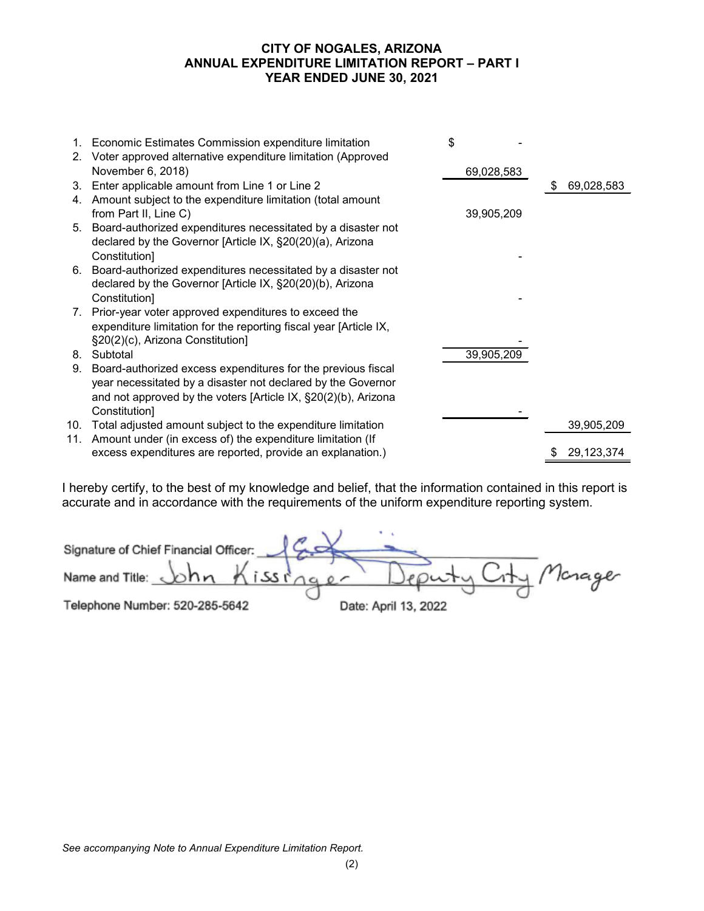## **CITY OF NOGALES, ARIZONA ANNUAL EXPENDITURE LIMITATION REPORT – PART I YEAR ENDED JUNE 30, 2021**

| November 6, 2018)<br>69,028,583<br>3. Enter applicable amount from Line 1 or Line 2<br>69,028,583<br>S<br>4. Amount subject to the expenditure limitation (total amount<br>from Part II, Line C)<br>39,905,209<br>5. Board-authorized expenditures necessitated by a disaster not<br>declared by the Governor [Article IX, §20(20)(a), Arizona<br>Constitution]<br>6. Board-authorized expenditures necessitated by a disaster not<br>declared by the Governor [Article IX, §20(20)(b), Arizona<br>Constitution]<br>7. Prior-year voter approved expenditures to exceed the<br>expenditure limitation for the reporting fiscal year [Article IX,<br>§20(2)(c), Arizona Constitution]<br>39,905,209<br>8. Subtotal<br>9. Board-authorized excess expenditures for the previous fiscal<br>year necessitated by a disaster not declared by the Governor<br>and not approved by the voters [Article IX, §20(2)(b), Arizona<br>Constitution]<br>10. Total adjusted amount subject to the expenditure limitation<br>39,905,209<br>11. Amount under (in excess of) the expenditure limitation (If<br>excess expenditures are reported, provide an explanation.)<br>29,123,374 | 1. Economic Estimates Commission expenditure limitation<br>2. Voter approved alternative expenditure limitation (Approved | \$ |  |
|------------------------------------------------------------------------------------------------------------------------------------------------------------------------------------------------------------------------------------------------------------------------------------------------------------------------------------------------------------------------------------------------------------------------------------------------------------------------------------------------------------------------------------------------------------------------------------------------------------------------------------------------------------------------------------------------------------------------------------------------------------------------------------------------------------------------------------------------------------------------------------------------------------------------------------------------------------------------------------------------------------------------------------------------------------------------------------------------------------------------------------------------------------------------|---------------------------------------------------------------------------------------------------------------------------|----|--|
|                                                                                                                                                                                                                                                                                                                                                                                                                                                                                                                                                                                                                                                                                                                                                                                                                                                                                                                                                                                                                                                                                                                                                                        |                                                                                                                           |    |  |
|                                                                                                                                                                                                                                                                                                                                                                                                                                                                                                                                                                                                                                                                                                                                                                                                                                                                                                                                                                                                                                                                                                                                                                        |                                                                                                                           |    |  |
|                                                                                                                                                                                                                                                                                                                                                                                                                                                                                                                                                                                                                                                                                                                                                                                                                                                                                                                                                                                                                                                                                                                                                                        |                                                                                                                           |    |  |
|                                                                                                                                                                                                                                                                                                                                                                                                                                                                                                                                                                                                                                                                                                                                                                                                                                                                                                                                                                                                                                                                                                                                                                        |                                                                                                                           |    |  |
|                                                                                                                                                                                                                                                                                                                                                                                                                                                                                                                                                                                                                                                                                                                                                                                                                                                                                                                                                                                                                                                                                                                                                                        |                                                                                                                           |    |  |
|                                                                                                                                                                                                                                                                                                                                                                                                                                                                                                                                                                                                                                                                                                                                                                                                                                                                                                                                                                                                                                                                                                                                                                        |                                                                                                                           |    |  |
|                                                                                                                                                                                                                                                                                                                                                                                                                                                                                                                                                                                                                                                                                                                                                                                                                                                                                                                                                                                                                                                                                                                                                                        |                                                                                                                           |    |  |
|                                                                                                                                                                                                                                                                                                                                                                                                                                                                                                                                                                                                                                                                                                                                                                                                                                                                                                                                                                                                                                                                                                                                                                        |                                                                                                                           |    |  |
|                                                                                                                                                                                                                                                                                                                                                                                                                                                                                                                                                                                                                                                                                                                                                                                                                                                                                                                                                                                                                                                                                                                                                                        |                                                                                                                           |    |  |
|                                                                                                                                                                                                                                                                                                                                                                                                                                                                                                                                                                                                                                                                                                                                                                                                                                                                                                                                                                                                                                                                                                                                                                        |                                                                                                                           |    |  |
|                                                                                                                                                                                                                                                                                                                                                                                                                                                                                                                                                                                                                                                                                                                                                                                                                                                                                                                                                                                                                                                                                                                                                                        |                                                                                                                           |    |  |
|                                                                                                                                                                                                                                                                                                                                                                                                                                                                                                                                                                                                                                                                                                                                                                                                                                                                                                                                                                                                                                                                                                                                                                        |                                                                                                                           |    |  |
|                                                                                                                                                                                                                                                                                                                                                                                                                                                                                                                                                                                                                                                                                                                                                                                                                                                                                                                                                                                                                                                                                                                                                                        |                                                                                                                           |    |  |
|                                                                                                                                                                                                                                                                                                                                                                                                                                                                                                                                                                                                                                                                                                                                                                                                                                                                                                                                                                                                                                                                                                                                                                        |                                                                                                                           |    |  |
|                                                                                                                                                                                                                                                                                                                                                                                                                                                                                                                                                                                                                                                                                                                                                                                                                                                                                                                                                                                                                                                                                                                                                                        |                                                                                                                           |    |  |
|                                                                                                                                                                                                                                                                                                                                                                                                                                                                                                                                                                                                                                                                                                                                                                                                                                                                                                                                                                                                                                                                                                                                                                        |                                                                                                                           |    |  |
|                                                                                                                                                                                                                                                                                                                                                                                                                                                                                                                                                                                                                                                                                                                                                                                                                                                                                                                                                                                                                                                                                                                                                                        |                                                                                                                           |    |  |
|                                                                                                                                                                                                                                                                                                                                                                                                                                                                                                                                                                                                                                                                                                                                                                                                                                                                                                                                                                                                                                                                                                                                                                        |                                                                                                                           |    |  |

I hereby certify, to the best of my knowledge and belief, that the information contained in this report is accurate and in accordance with the requirements of the uniform expenditure reporting system.

| Signature of Chief Financial Officer: 4  |                      |
|------------------------------------------|----------------------|
| Name and Title: $\phi h n h i s s n a e$ | Deputy City Monager  |
| Telephone Number: 520-285-5642           | Date: April 13, 2022 |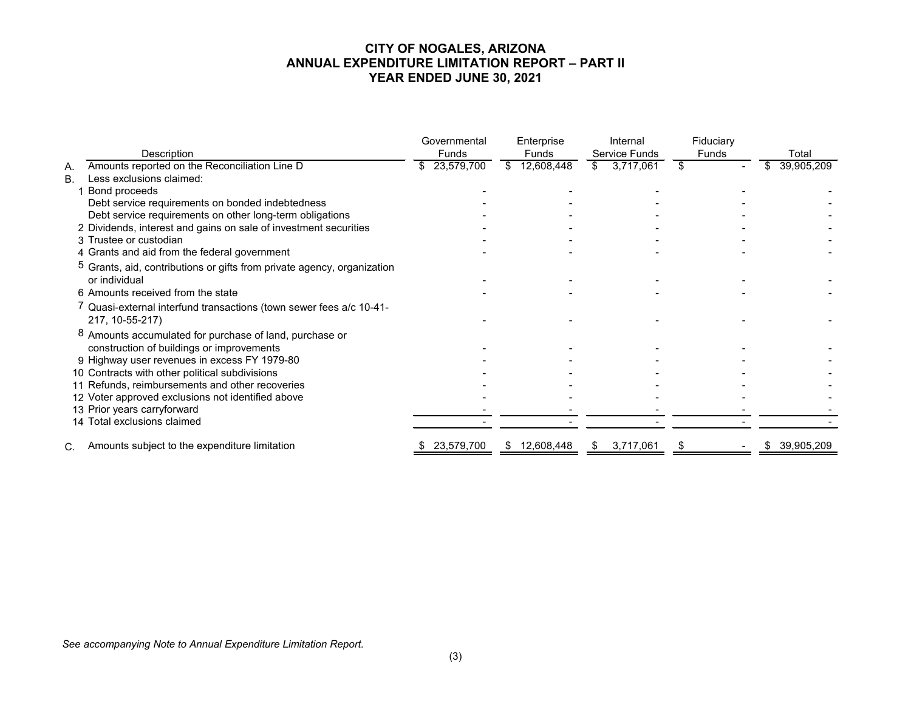#### **CITY OF NOGALES, ARIZONA ANNUAL EXPENDITURE LIMITATION REPORT – PART II YEAR ENDED JUNE 30, 2021**

|           |                                                                                                      | Governmental  | Enterprise        | Internal        | Fiduciary |            |
|-----------|------------------------------------------------------------------------------------------------------|---------------|-------------------|-----------------|-----------|------------|
|           | Description                                                                                          | Funds         | Funds             | Service Funds   | Funds     | Total      |
| А.        | Amounts reported on the Reconciliation Line D                                                        | \$ 23,579,700 | 12,608,448<br>\$. | 3,717,061<br>\$ | \$        | 39,905,209 |
| <b>B.</b> | Less exclusions claimed:                                                                             |               |                   |                 |           |            |
|           | Bond proceeds                                                                                        |               |                   |                 |           |            |
|           | Debt service requirements on bonded indebtedness                                                     |               |                   |                 |           |            |
|           | Debt service requirements on other long-term obligations                                             |               |                   |                 |           |            |
|           | 2 Dividends, interest and gains on sale of investment securities                                     |               |                   |                 |           |            |
|           | 3 Trustee or custodian                                                                               |               |                   |                 |           |            |
|           | 4 Grants and aid from the federal government                                                         |               |                   |                 |           |            |
|           | <sup>5</sup> Grants, aid, contributions or gifts from private agency, organization<br>or individual  |               |                   |                 |           |            |
|           | 6 Amounts received from the state                                                                    |               |                   |                 |           |            |
|           | Quasi-external interfund transactions (town sewer fees a/c 10-41-<br>217, 10-55-217)                 |               |                   |                 |           |            |
|           | 8 Amounts accumulated for purchase of land, purchase or<br>construction of buildings or improvements |               |                   |                 |           |            |
|           | 9 Highway user revenues in excess FY 1979-80                                                         |               |                   |                 |           |            |
|           | 10 Contracts with other political subdivisions                                                       |               |                   |                 |           |            |
|           | 11 Refunds, reimbursements and other recoveries                                                      |               |                   |                 |           |            |
|           | 12 Voter approved exclusions not identified above                                                    |               |                   |                 |           |            |
|           | 13 Prior years carryforward                                                                          |               |                   |                 |           |            |
|           | 14 Total exclusions claimed                                                                          |               |                   |                 |           |            |
| C.        | Amounts subject to the expenditure limitation                                                        | 23,579,700    | 12,608,448<br>SБ. | 3,717,061       |           | 39,905,209 |

*See accompanying Note to Annual Expenditure Limitation Report.*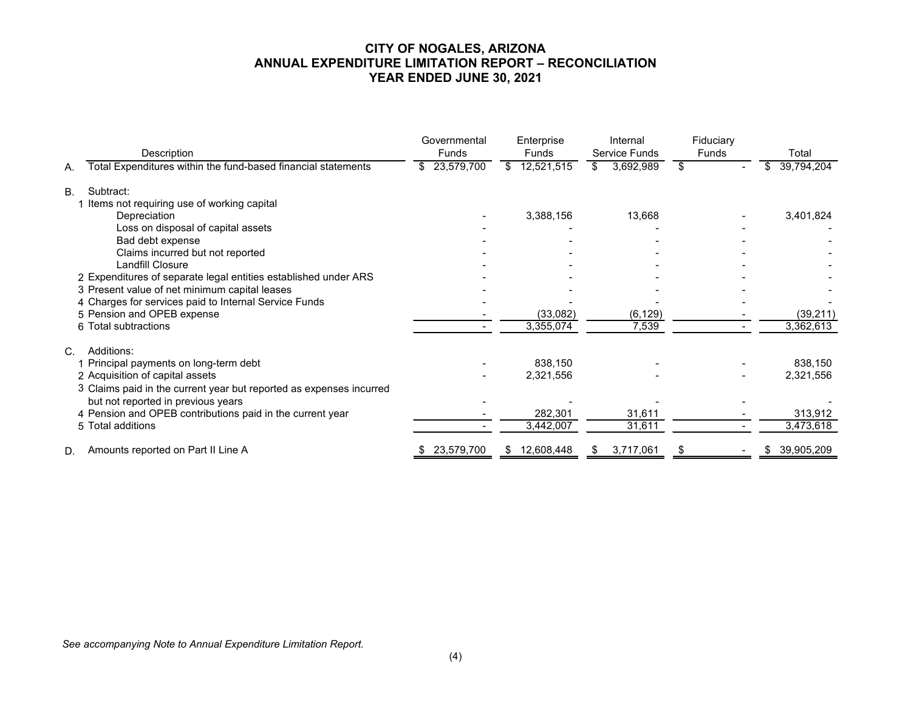## **CITY OF NOGALES, ARIZONA ANNUAL EXPENDITURE LIMITATION REPORT – RECONCILIATION YEAR ENDED JUNE 30, 2021**

|                                                                     | Governmental | Enterprise       | Internal         | Fiduciary |                  |
|---------------------------------------------------------------------|--------------|------------------|------------------|-----------|------------------|
| Description                                                         | <b>Funds</b> | Funds            | Service Funds    | Funds     | Total            |
| Total Expenditures within the fund-based financial statements<br>А. | \$23,579,700 | 12,521,515       | 3,692,989<br>\$. | \$        | 39,794,204       |
| Subtract:<br>B <sub>1</sub>                                         |              |                  |                  |           |                  |
| Items not requiring use of working capital                          |              |                  |                  |           |                  |
| Depreciation                                                        |              | 3,388,156        | 13,668           |           | 3,401,824        |
| Loss on disposal of capital assets                                  |              |                  |                  |           |                  |
| Bad debt expense                                                    |              |                  |                  |           |                  |
| Claims incurred but not reported                                    |              |                  |                  |           |                  |
| Landfill Closure                                                    |              |                  |                  |           |                  |
| 2 Expenditures of separate legal entities established under ARS     |              |                  |                  |           |                  |
| 3 Present value of net minimum capital leases                       |              |                  |                  |           |                  |
| 4 Charges for services paid to Internal Service Funds               |              |                  |                  |           |                  |
| 5 Pension and OPEB expense                                          |              | (33,082)         | (6, 129)         |           | (39, 211)        |
| 6 Total subtractions                                                |              | 3,355,074        | 7,539            |           | 3,362,613        |
| Additions:<br>C.                                                    |              |                  |                  |           |                  |
| Principal payments on long-term debt                                |              | 838,150          |                  |           | 838,150          |
| 2 Acquisition of capital assets                                     |              | 2,321,556        |                  |           | 2,321,556        |
| 3 Claims paid in the current year but reported as expenses incurred |              |                  |                  |           |                  |
| but not reported in previous years                                  |              |                  |                  |           |                  |
| 4 Pension and OPEB contributions paid in the current year           |              | 282,301          | 31,611           |           | 313,912          |
| 5 Total additions                                                   |              | 3,442,007        | 31,611           |           | 3,473,618        |
| Amounts reported on Part II Line A<br>D.                            | 23,579,700   | 12,608,448<br>\$ | 3,717,061<br>æ.  | \$        | 39,905,209<br>S. |

*See accompanying Note to Annual Expenditure Limitation Report.*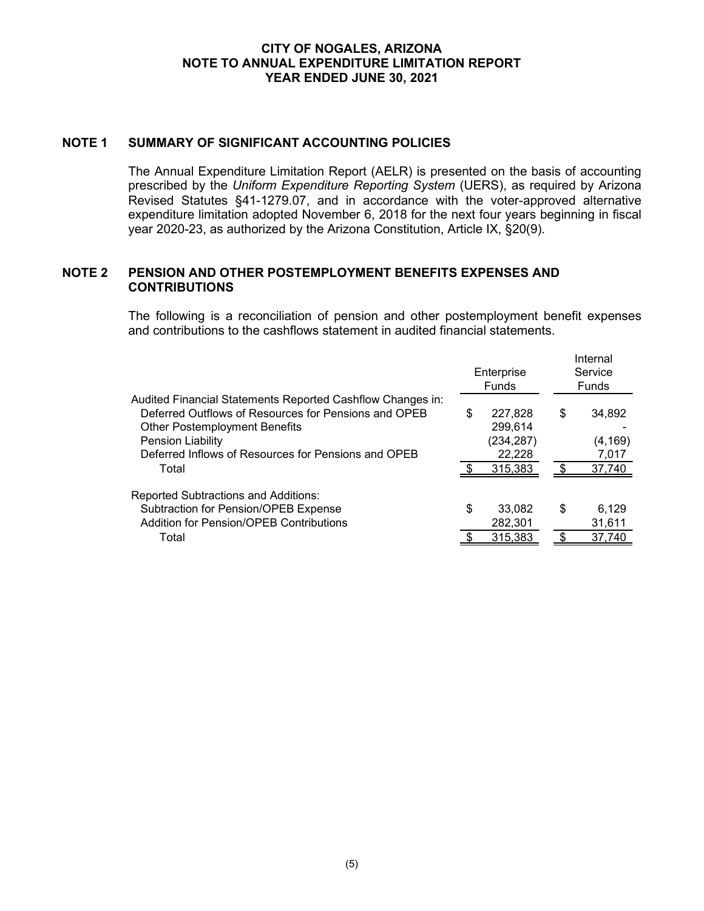#### **CITY OF NOGALES, ARIZONA NOTE TO ANNUAL EXPENDITURE LIMITATION REPORT YEAR ENDED JUNE 30, 2021**

#### **NOTE 1 SUMMARY OF SIGNIFICANT ACCOUNTING POLICIES**

The Annual Expenditure Limitation Report (AELR) is presented on the basis of accounting prescribed by the *Uniform Expenditure Reporting System* (UERS), as required by Arizona Revised Statutes §41-1279.07, and in accordance with the voter-approved alternative expenditure limitation adopted November 6, 2018 for the next four years beginning in fiscal year 2020-23, as authorized by the Arizona Constitution, Article IX, §20(9).

#### **NOTE 2 PENSION AND OTHER POSTEMPLOYMENT BENEFITS EXPENSES AND CONTRIBUTIONS**

The following is a reconciliation of pension and other postemployment benefit expenses and contributions to the cashflows statement in audited financial statements.

|                                                                                                                                                                                                                                                 | Enterprise<br><b>Funds</b> |                                                       |    | Internal<br>Service<br><b>Funds</b>   |  |
|-------------------------------------------------------------------------------------------------------------------------------------------------------------------------------------------------------------------------------------------------|----------------------------|-------------------------------------------------------|----|---------------------------------------|--|
| Audited Financial Statements Reported Cashflow Changes in:<br>Deferred Outflows of Resources for Pensions and OPEB<br><b>Other Postemployment Benefits</b><br>Pension Liability<br>Deferred Inflows of Resources for Pensions and OPEB<br>Total | \$                         | 227.828<br>299.614<br>(234, 287)<br>22,228<br>315,383 | S  | 34,892<br>(4, 169)<br>7,017<br>37,740 |  |
| <b>Reported Subtractions and Additions:</b><br>Subtraction for Pension/OPEB Expense<br><b>Addition for Pension/OPEB Contributions</b>                                                                                                           | \$                         | 33.082<br>282,301                                     | \$ | 6,129<br>31,611                       |  |
| Total                                                                                                                                                                                                                                           |                            | 315.383                                               |    | 37,740                                |  |